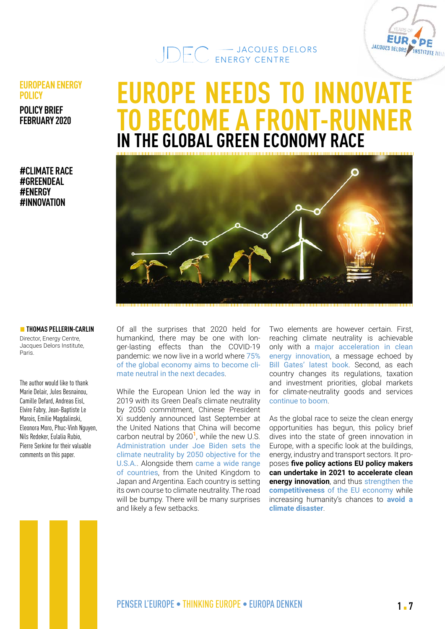



#### **EUROPEAN ENERGY POLICY**

**POLICY BRIEF FEBRUARY 2020**

#### **#CLIMATE RACE #GREENDEAL #ENERGY #INNOVATION**

# **EUROPE NEEDS TO INNOVAT TO BECOME A FRONT-RUNNER IN THE GLOBAL GREEN ECONOMY RACE**



#### $\blacksquare$  **THOMAS PELLERIN-CARLIN**

Director, Energy Centre, Jacques Delors Institute, Paris.

The author would like to thank Marie Delair, Jules Besnainou, Camille Defard, Andreas Eisl, Elvire Fabry, Jean-Baptiste Le Marois, Emilie Magdalinski, Eleonora Moro, Phuc-Vinh Nguyen, Nils Redeker, Eulalia Rubio, Pierre Serkine for their valuable comments on this paper.

Of all the surprises that 2020 held for humankind, there may be one with longer-lasting effects than the COVID-19 pandemic: we now live in a world where [75%](https://institutdelors.eu/en/publications/5-years-after-the-paris-agreement-the-largest-global-economies-are-engaging-in-the-race-towards-climate-neutrality/) [of the global economy aims to become cli](https://institutdelors.eu/en/publications/5-years-after-the-paris-agreement-the-largest-global-economies-are-engaging-in-the-race-towards-climate-neutrality/)[mate neutral in the next decades](https://institutdelors.eu/en/publications/5-years-after-the-paris-agreement-the-largest-global-economies-are-engaging-in-the-race-towards-climate-neutrality/).

While the European Union led the way in 2019 with its Green Deal's climate neutrality by 2050 commitment, Chinese President Xi suddenly announced last September at the United Nations that China will become carbon neutral by 2060**1**, while the new U.S. [Administration under Joe Biden sets the](https://institutdelors.eu/en/publications/making-transatlantic-relations-green-again-a-common-agenda-for-climate-action/) [climate neutrality by 2050 objective](https://institutdelors.eu/en/publications/making-transatlantic-relations-green-again-a-common-agenda-for-climate-action/) for the U.S.A.. Alongside them [came a wide range](https://institutdelors.eu/en/publications/5-years-after-the-paris-agreement-the-largest-global-economies-are-engaging-in-the-race-towards-climate-neutrality/) [of countries](https://institutdelors.eu/en/publications/5-years-after-the-paris-agreement-the-largest-global-economies-are-engaging-in-the-race-towards-climate-neutrality/), from the United Kingdom to Japan and Argentina. Each country is setting its own course to climate neutrality. The road will be bumpy. There will be many surprises and likely a few setbacks.

Two elements are however certain. First, reaching climate neutrality is achievable only with a [major acceleration in clean](https://www.iea.org/reports/clean-energy-innovation)  [energy innovation](https://www.iea.org/reports/clean-energy-innovation), a message echoed by [Bill Gates' latest book](https://www.gatesnotes.com/Energy/My-new-climate-book-is-finally-here). Second, as each country changes its regulations, taxation and investment priorities, global markets for climate-neutrality goods and services [continue to boom](https://www.iea.org/reports/world-energy-outlook-2020).

As the global race to seize the clean energy opportunities has begun, this policy brief dives into the state of green innovation in Europe, with a specific look at the buildings, energy, industry and transport sectors. It proposes **five policy actions EU policy makers can undertake in 2021 to accelerate clean energy innovation**, and thus strengthen the **competitiveness** [of the EU economy](https://ec.europa.eu/energy/sites/default/files/documents/report_on_clean_energy_competitiveness_com_2020_953.pdf) while increasing humanity's chances to **[avoid a](https://www.ipcc.ch/2018/10/08/summary-for-policymakers-of-ipcc-special-report-on-global-warming-of-1-5c-approved-by-governments/)  [climate disaster](https://www.ipcc.ch/2018/10/08/summary-for-policymakers-of-ipcc-special-report-on-global-warming-of-1-5c-approved-by-governments/)**.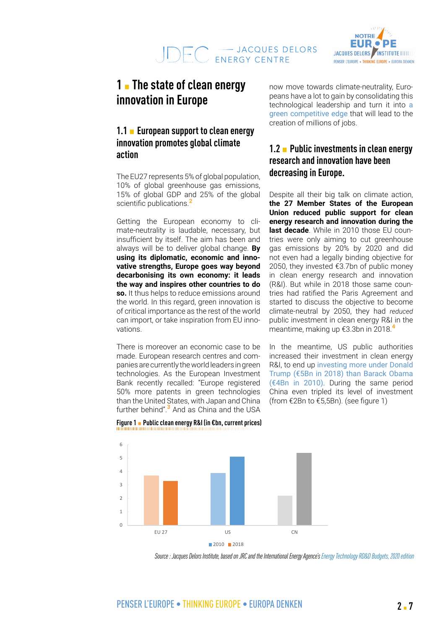

# **1 I** The state of clean energy **innovation in Europe**

### **1.1 • European support to clean energy innovation promotes global climate action**

The EU27 represents 5% of global population, 10% of global greenhouse gas emissions, 15% of global GDP and 25% of the global scientific publications.**<sup>2</sup>**

Getting the European economy to climate-neutrality is laudable, necessary, but insufficient by itself. The aim has been and always will be to deliver global change. **By using its diplomatic, economic and innovative strengths, Europe goes way beyond decarbonising its own economy: it leads the way and inspires other countries to do so.** It thus helps to reduce emissions around the world. In this regard, green innovation is of critical importance as the rest of the world can import, or take inspiration from EU innovations.

There is moreover an economic case to be made. European research centres and companies are currently the world leaders in green technologies. As the European Investment Bank recently recalled: "Europe registered 50% more patents in green technologies than the United States, with Japan and China further behind".**3** And as China and the USA

now move towards climate-neutrality, Europeans have a lot to gain by consolidating this technological leadership and turn it into [a](https://www.businesspost.ie/climate-environment/pascal-lamy-as-america-turns-the-page-the-eu-must-sharpen-its-climate-innovation-edge-853ffe19)  [green competitive edge](https://www.businesspost.ie/climate-environment/pascal-lamy-as-america-turns-the-page-the-eu-must-sharpen-its-climate-innovation-edge-853ffe19) that will lead to the creation of millions of jobs.

### **1.2 • Public investments in clean energy research and innovation have been decreasing in Europe.**

Despite all their big talk on climate action, **the 27 Member States of the European Union reduced public support for clean energy research and innovation during the**  last decade. While in 2010 those EU countries were only aiming to cut greenhouse gas emissions by 20% by 2020 and did not even had a legally binding objective for 2050, they invested €3.7bn of public money in clean energy research and innovation (R&I). But while in 2018 those same countries had ratified the Paris Agreement and started to discuss the objective to become climate-neutral by 2050, they had *reduced* public investment in clean energy R&I in the meantime, making up €3.3bn in 2018.**<sup>4</sup>**

In the meantime, US public authorities increased their investment in clean energy R&I, to end up [investing more under Donald](https://institutdelors.eu/en/publications/making-transatlantic-relations-green-again-a-common-agenda-for-climate-action/)  [Trump \(€5Bn in 2018\) than Barack Obama](https://institutdelors.eu/en/publications/making-transatlantic-relations-green-again-a-common-agenda-for-climate-action/)  [\(€4Bn in 2010\)](https://institutdelors.eu/en/publications/making-transatlantic-relations-green-again-a-common-agenda-for-climate-action/). During the same period China even tripled its level of investment (from €2Bn to €5,5Bn). (see figure 1)



## **Figure 1** ▪ **Public clean energy R&I (in €bn, current prices)**

*Source: Jacques Delors Institute, based on JRC and the International Energy Agence's [Energy Technology RD&D Budgets, 2020 edition](file:///C:\Users\pellerin-carlin\AppData\Local\Microsoft\Windows\INetCache\Content.Outlook\G4TY77GH\iea.org\reports\energy-technology-rdd-budgets-2020)*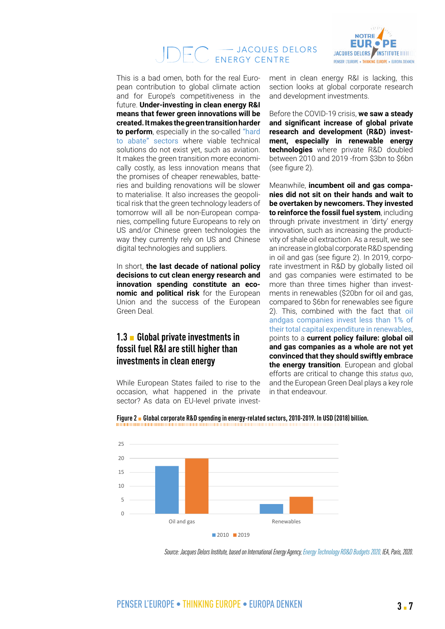#### - JACQUES DELORS ENERGY CENTRE



This is a bad omen, both for the real European contribution to global climate action and for Europe's competitiveness in the future. **Under-investing in clean energy R&I means that fewer green innovations will be created. It makes the green transition harder to perform**, especially in the so-called ["hard](https://www.energy-transitions.org/publications/mission-possible/) [to abate" sectors](https://www.energy-transitions.org/publications/mission-possible/) where viable technical solutions do not exist yet, such as aviation. It makes the green transition more economically costly, as less innovation means that the promises of cheaper renewables, batteries and building renovations will be slower to materialise. It also increases the geopolitical risk that the green technology leaders of tomorrow will all be non-European companies, compelling future Europeans to rely on US and/or Chinese green technologies the way they currently rely on US and Chinese digital technologies and suppliers.

In short, **the last decade of national policy decisions to cut clean energy research and innovation spending constitute an economic and political risk** for the European Union and the success of the European Green Deal.

#### **1.3** ▪ **Global private investments in fossil fuel R&I are still higher than investments in clean energy**

While European States failed to rise to the occasion, what happened in the private sector? As data on EU-level private invest-Global corporate R&D spending in energy-

ment in clean energy R&I is lacking, this section looks at global corporate research and development investments.

Before the COVID-19 crisis, **we saw a steady and significant increase of global private research and development (R&D) investment, especially in renewable energy technologies** where private R&D doubled between 2010 and 2019 -from \$3bn to \$6bn (see figure 2).

Meanwhile, **incumbent oil and gas companies did not sit on their hands and wait to be overtaken by newcomers. They invested to reinforce the fossil fuel system**, including through private investment in 'dirty' energy innovation, such as increasing the productivity of shale oil extraction. As a result, we see an increase in global corporate R&D spending in oil and gas (see figure 2). In 2019, corporate investment in R&D by globally listed oil and gas companies were estimated to be more than three times higher than investments in renewables (\$20bn for oil and gas, compared to \$6bn for renewables see figure 2). This, combined with the fact that [oil](https://www.iea.org/reports/the-oil-and-gas-industry-in-energy-transitions)  [andgas companies invest less than 1% of](https://www.iea.org/reports/the-oil-and-gas-industry-in-energy-transitions)  [their total capital expenditure in renewables](https://www.iea.org/reports/the-oil-and-gas-industry-in-energy-transitions), points to a **current policy failure: global oil and gas companies as a whole are not yet convinced that they should swiftly embrace the energy transition**. European and global efforts are critical to change this *status quo*, and the European Green Deal plays a key role in that endeavour.



**Figure 2** ▪ **Global corporate R&D spending in energy-related sectors, 2010-2019. In USD (2018) billion.** related sectors, 2010-2019. In USD (2018)

*Source: Jacques Delors Institute, based on International Energy Agency, [Energy Technology RD&D Budgets 2020,](https://www.iea.org/reports/energy-technology-rdd-budgets-2020) IEA, Paris, 2020.*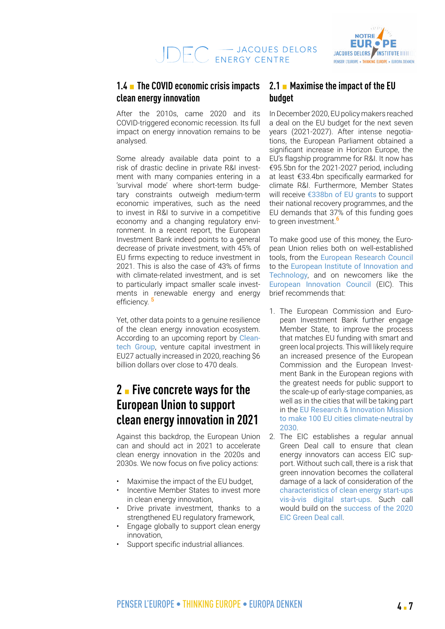

### **1.4** ▪ **The COVID economic crisis impacts clean energy innovation**

After the 2010s, came 2020 and its COVID-triggered economic recession. Its full impact on energy innovation remains to be analysed.

Some already available data point to a risk of drastic decline in private R&I investment with many companies entering in a 'survival mode' where short-term budgetary constraints outweigh medium-term economic imperatives, such as the need to invest in R&I to survive in a competitive economy and a changing regulatory environment. In a recent report, the European Investment Bank indeed points to a general decrease of private investment, with 45% of EU firms expecting to reduce investment in 2021. This is also the case of 43% of firms with climate-related investment, and is set to particularly impact smaller scale investments in renewable energy and energy efficiency. **<sup>5</sup>**

Yet, other data points to a genuine resilience of the clean energy innovation ecosystem. According to an upcoming report by [Clean](https://www.cleantech.com/)[tech Group](https://www.cleantech.com/), venture capital investment in EU27 actually increased in 2020, reaching \$6 billion dollars over close to 470 deals.

## **2** ▪ **Five concrete ways for the European Union to support clean energy innovation in 2021**

Against this backdrop, the European Union can and should act in 2021 to accelerate clean energy innovation in the 2020s and 2030s. We now focus on five policy actions:

- Maximise the impact of the EU budget,
- Incentive Member States to invest more in clean energy innovation,
- Drive private investment, thanks to a strengthened EU regulatory framework,
- Engage globally to support clean energy innovation,
- Support specific industrial alliances.

#### **2.1** ▪ **Maximise the impact of the EU budget**

In December 2020, EU policy makers reached a deal on the EU budget for the next seven years (2021-2027). After intense negotiations, the European Parliament obtained a significant increase in Horizon Europe, the EU's flagship programme for R&I. It now has €95.5bn for the 2021-2027 period, including at least €33.4bn specifically earmarked for climate R&I. Furthermore, Member States will receive [€338bn of EU grants](https://ec.europa.eu/info/sites/info/files/about_the_european_commission/eu_budget/recovery_and_resilience_facility_.pdf) to support their national recovery programmes, and the EU demands that 37% of this funding goes to green investment.**<sup>6</sup>**

To make good use of this money, the European Union relies both on well-established tools, from the [European Research Council](https://erc.europa.eu/about-erc/mission) to the [European Institute of Innovation and](https://www.innoenergy.com/about/about-eit-innoenergy/mission-vision-values/)  [Technology](https://www.innoenergy.com/about/about-eit-innoenergy/mission-vision-values/), and on newcomers like the [European Innovation Council](https://ec.europa.eu/research/eic/index.cfm?pg=about) (EIC). This brief recommends that:

- 1. The European Commission and European Investment Bank further engage Member State, to improve the process that matches EU funding with smart and green local projects. This will likely require an increased presence of the European Commission and the European Investment Bank in the European regions with the greatest needs for public support to the scale-up of early-stage companies, as well as in the cities that will be taking part in the [EU Research & Innovation Mission](https://ec.europa.eu/info/sites/info/files/research_and_innovation/funding/documents/ec_rtd_mission-board-report-climate-neutral-and-smart-cities.pdf)  [to make 100 EU cities climate-neutral by](https://ec.europa.eu/info/sites/info/files/research_and_innovation/funding/documents/ec_rtd_mission-board-report-climate-neutral-and-smart-cities.pdf)  [2030](https://ec.europa.eu/info/sites/info/files/research_and_innovation/funding/documents/ec_rtd_mission-board-report-climate-neutral-and-smart-cities.pdf).
- 2. The EIC establishes a regular annual Green Deal call to ensure that clean energy innovators can access EIC support. Without such call, there is a risk that green innovation becomes the collateral damage of a lack of consideration of the [characteristics of clean energy start-ups](https://institutdelors.eu/en/publications/invest-in-the-clean-energy-future-we-want-ten-recommendations-to-accelerate-competitive-clean-energy-innovation-with-horizon-europe/)  [vis-à-vis digital start-ups](https://institutdelors.eu/en/publications/invest-in-the-clean-energy-future-we-want-ten-recommendations-to-accelerate-competitive-clean-energy-innovation-with-horizon-europe/). Such call would build on the [success of the 2020](https://ec.europa.eu/info/news/high-demand-eic-green-deal-call-2020-may-25_en)  [EIC Green Deal call](https://ec.europa.eu/info/news/high-demand-eic-green-deal-call-2020-may-25_en).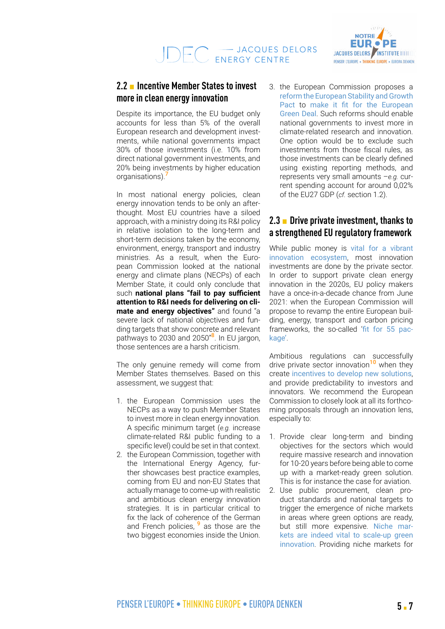#### **2.2** ▪ **Incentive Member States to invest more in clean energy innovation**

Despite its importance, the EU budget only accounts for less than 5% of the overall European research and development investments, while national governments impact 30% of those investments (i.e. 10% from direct national government investments, and 20% being investments by higher education organisations).**<sup>7</sup>**

In most national energy policies, clean energy innovation tends to be only an afterthought. Most EU countries have a siloed approach, with a ministry doing its R&I policy in relative isolation to the long-term and short-term decisions taken by the economy, environment, energy, transport and industry ministries. As a result, when the European Commission looked at the national energy and climate plans (NECPs) of each Member State, it could only conclude that such **national plans "fail to pay sufficient attention to R&I needs for delivering on climate and energy objectives"** and found "a severe lack of national objectives and funding targets that show concrete and relevant pathways to 2030 and 2050"**8**. In EU jargon, those sentences are a harsh criticism.

The only genuine remedy will come from Member States themselves. Based on this assessment, we suggest that:

- 1. the European Commission uses the NECPs as a way to push Member States to invest more in clean energy innovation. A specific minimum target (*e.g.* increase climate-related R&I public funding to a specific level) could be set in that context.
- 2. the European Commission, together with the International Energy Agency, further showcases best practice examples, coming from EU and non-EU States that actually manage to come-up with realistic and ambitious clean energy innovation strategies. It is in particular critical to fix the lack of coherence of the German and French policies, **<sup>9</sup>** as those are the two biggest economies inside the Union.

3. the European Commission proposes a [reform the European Stability and Growth](https://hertieschool-f4e6.kxcdn.com/fileadmin/2_Research/1_About_our_research/2_Research_centres/6_Jacques_Delors_Centre/Publications/20200211_Economic_governance_Guttenberg_et_al.pdf)  [Pact](https://hertieschool-f4e6.kxcdn.com/fileadmin/2_Research/1_About_our_research/2_Research_centres/6_Jacques_Delors_Centre/Publications/20200211_Economic_governance_Guttenberg_et_al.pdf) to [make it fit for the European](https://www.bruegel.org/2019/12/the-european-green-deal-needs-a-reformed-fiscal-framework/)  [Green Deal](https://www.bruegel.org/2019/12/the-european-green-deal-needs-a-reformed-fiscal-framework/). Such reforms should enable national governments to invest more in climate-related research and innovation. One option would be to exclude such investments from those fiscal rules, as those investments can be clearly defined using existing reporting methods, and represents very small amounts –*e.g.* current spending account for around 0,02% of the EU27 GDP (*cf.* section 1.2).

### **2.3** ▪ **Drive private investment, thanks to a strengthened EU regulatory framework**

While public money is [vital for a vibrant](https://marianamazzucato.com/books/the-entrepreneurial-state)  [innovation ecosystem](https://marianamazzucato.com/books/the-entrepreneurial-state), most innovation investments are done by the private sector. In order to support private clean energy innovation in the 2020s, EU policy makers have a once-in-a-decade chance from June 2021: when the European Commission will propose to revamp the entire European building, energy, transport and carbon pricing frameworks, the so-called '[fit for 55 pac](https://ec.europa.eu/commission/presscorner/detail/en/ip_20_1940)[kage'](https://ec.europa.eu/commission/presscorner/detail/en/ip_20_1940)

Ambitious regulations can successfully drive private sector innovation**10** when they create [incentives to develop new solutions](https://www.iea.org/reports/tracking-clean-energy-innovation), and provide predictability to investors and innovators. We recommend the European Commission to closely look at all its forthcoming proposals through an innovation lens. especially to:

- 1. Provide clear long-term and binding objectives for the sectors which would require massive research and innovation for 10-20 years before being able to come up with a market-ready green solution. This is for instance the case for aviation.
- 2. Use public procurement, clean product standards and national targets to trigger the emergence of niche markets in areas where green options are ready, but still more expensive. [Niche mar](https://www.tandfonline.com/doi/abs/10.1080/09537320802292651)[kets are indeed vital to scale-up green](https://www.tandfonline.com/doi/abs/10.1080/09537320802292651)  [innovation](https://www.tandfonline.com/doi/abs/10.1080/09537320802292651). Providing niche markets for

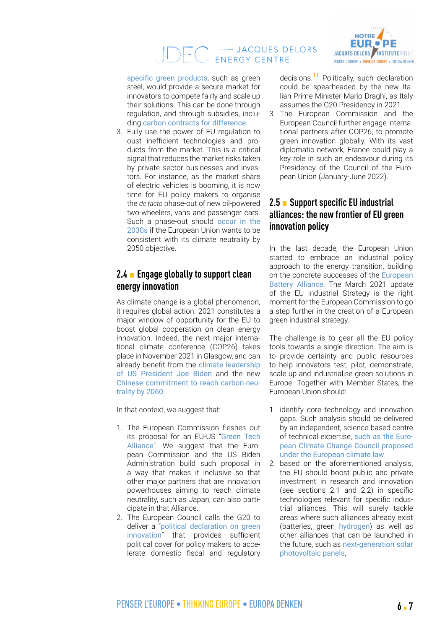#### - JACQUES DELORS  $\Box$ ENERGY CENTRE



[specific green products](https://www.capgemini.com/wp-content/uploads/2020/10/Net-zero-main-report-2020.pdf), such as green steel, would provide a secure market for innovators to compete fairly and scale up their solutions. This can be done through regulation, and through subsidies, including [carbon contracts for difference](https://climatestrategies.wordpress.com/2020/09/09/carbon-contracts-for-differences/).

3. Fully use the power of EU regulation to oust inefficient technologies and products from the market. This is a critical signal that reduces the market risks taken by private sector businesses and investors. For instance, as the market share of electric vehicles is booming, it is now time for EU policy makers to organise the *de facto* phase-out of new oil-powered two-wheelers, vans and passenger cars. Such a phase-out should [occur in the](https://www.transportenvironment.org/publications/car-co2-review-europe%E2%80%99s-chance-win-e-mobility-race) [2030s](https://www.transportenvironment.org/publications/car-co2-review-europe%E2%80%99s-chance-win-e-mobility-race) if the European Union wants to be consistent with its climate neutrality by 2050 objective.

#### **2.4** ▪ **Engage globally to support clean energy innovation**

As climate change is a global phenomenon, it requires global action. 2021 constitutes a major window of opportunity for the EU to boost global cooperation on clean energy innovation. Indeed, the next major international climate conference (COP26) takes place in November 2021 in Glasgow, and can already benefit from the [climate leadership](https://institutdelors.eu/en/publications/making-transatlantic-relations-green-again-a-common-agenda-for-climate-action/) [of US President Joe Biden](https://institutdelors.eu/en/publications/making-transatlantic-relations-green-again-a-common-agenda-for-climate-action/) and the new [Chinese commitment to reach carbon-neu](https://www.oxfordenergy.org/publications/unpacking-chinas-2060-carbon-neutrality-pledge/)[trality by 2060](https://www.oxfordenergy.org/publications/unpacking-chinas-2060-carbon-neutrality-pledge/).

In that context, we suggest that:

- 1. The European Commission fleshes out its proposal for an EU-US "[Green Tech](https://ec.europa.eu/commission/presscorner/detail/en/IP_20_2279) [Alliance](https://ec.europa.eu/commission/presscorner/detail/en/IP_20_2279)". We suggest that the European Commission and the US Biden Administration build such proposal in a way that makes it inclusive so that other major partners that are innovation powerhouses aiming to reach climate neutrality, such as Japan, can also participate in that Alliance.
- 2. The European Council calls the G20 to deliver a "[political declaration on green](https://www.bsg.ox.ac.uk/sites/default/files/2020-12/Governance%20to%20support%20a%20global%20green%20deal.%2011%20Dec%202020.pdf) [innovation](https://www.bsg.ox.ac.uk/sites/default/files/2020-12/Governance%20to%20support%20a%20global%20green%20deal.%2011%20Dec%202020.pdf)" that provides sufficient political cover for policy makers to accelerate domestic fiscal and regulatory

decisions.**11** Politically, such declaration could be spearheaded by the new Italian Prime Minister Mario Draghi, as Italy assumes the G20 Presidency in 2021.

3. The European Commission and the European Council further engage international partners after COP26, to promote green innovation globally. With its vast diplomatic network, France could play a key role in such an endeavour during its Presidency of the Council of the European Union (January-June 2022).

### **2.5** ▪ **Support specific EU industrial alliances: the new frontier of EU green innovation policy**

In the last decade, the European Union started to embrace an industrial policy approach to the energy transition, building on the concrete successes of the [European](https://www.ifri.org/en/publications/editoriaux-de-lifri/european-battery-alliance-moving-gear)  [Battery Alliance](https://www.ifri.org/en/publications/editoriaux-de-lifri/european-battery-alliance-moving-gear). The March 2021 update of the EU Industrial Strategy is the right moment for the European Commission to go a step further in the creation of a European green industrial strategy.

The challenge is to gear all the EU policy tools towards a single direction. The aim is to provide certainty and public resources to help innovators test, pilot, demonstrate, scale up and industrialise green solutions in Europe. Together with Member States, the European Union should:

- 1. identify core technology and innovation gaps. Such analysis should be delivered by an independent, science-based centre of technical expertise, [such as the Euro](https://sciencebusiness.net/framework-programmes/news/viewpoint-its-time-put-greater-focus-climate-research)[pean Climate Change Council proposed](https://sciencebusiness.net/framework-programmes/news/viewpoint-its-time-put-greater-focus-climate-research)  [under the European climate law](https://sciencebusiness.net/framework-programmes/news/viewpoint-its-time-put-greater-focus-climate-research).
- 2. based on the aforementioned analysis, the EU should boost public and private investment in research and innovation (see sections 2.1 and 2.2) in specific technologies relevant for specific industrial alliances. This will surely tackle areas where such alliances already exist (batteries, green [hydrogen](https://ec.europa.eu/growth/industry/policy/european-clean-hydrogen-alliance_en)) as well as other alliances that can be launched in the future, such as [next-generation solar](https://energypost.eu/perovskites-the-next-generation-of-solar-cells-and-lighting/)  [photovoltaic panels](https://energypost.eu/perovskites-the-next-generation-of-solar-cells-and-lighting/),